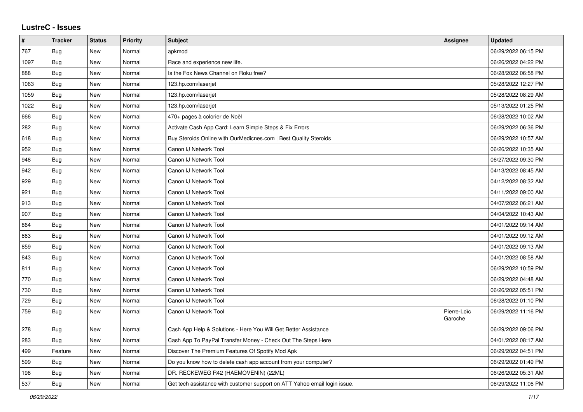## **LustreC - Issues**

| #    | <b>Tracker</b> | <b>Status</b> | <b>Priority</b> | <b>Subject</b>                                                            | <b>Assignee</b>        | <b>Updated</b>      |
|------|----------------|---------------|-----------------|---------------------------------------------------------------------------|------------------------|---------------------|
| 767  | Bug            | <b>New</b>    | Normal          | apkmod                                                                    |                        | 06/29/2022 06:15 PM |
| 1097 | Bug            | <b>New</b>    | Normal          | Race and experience new life.                                             |                        | 06/26/2022 04:22 PM |
| 888  | <b>Bug</b>     | New           | Normal          | Is the Fox News Channel on Roku free?                                     |                        | 06/28/2022 06:58 PM |
| 1063 | <b>Bug</b>     | New           | Normal          | 123.hp.com/laserjet                                                       |                        | 05/28/2022 12:27 PM |
| 1059 | Bug            | <b>New</b>    | Normal          | 123.hp.com/laserjet                                                       |                        | 05/28/2022 08:29 AM |
| 1022 | Bug            | <b>New</b>    | Normal          | 123.hp.com/laserjet                                                       |                        | 05/13/2022 01:25 PM |
| 666  | <b>Bug</b>     | New           | Normal          | 470+ pages à colorier de Noël                                             |                        | 06/28/2022 10:02 AM |
| 282  | <b>Bug</b>     | New           | Normal          | Activate Cash App Card: Learn Simple Steps & Fix Errors                   |                        | 06/29/2022 06:36 PM |
| 618  | Bug            | <b>New</b>    | Normal          | Buy Steroids Online with OurMedicnes.com   Best Quality Steroids          |                        | 06/29/2022 10:57 AM |
| 952  | Bug            | New           | Normal          | Canon IJ Network Tool                                                     |                        | 06/26/2022 10:35 AM |
| 948  | Bug            | <b>New</b>    | Normal          | Canon IJ Network Tool                                                     |                        | 06/27/2022 09:30 PM |
| 942  | <b>Bug</b>     | <b>New</b>    | Normal          | Canon IJ Network Tool                                                     |                        | 04/13/2022 08:45 AM |
| 929  | <b>Bug</b>     | New           | Normal          | Canon IJ Network Tool                                                     |                        | 04/12/2022 08:32 AM |
| 921  | <b>Bug</b>     | <b>New</b>    | Normal          | Canon IJ Network Tool                                                     |                        | 04/11/2022 09:00 AM |
| 913  | <b>Bug</b>     | <b>New</b>    | Normal          | Canon IJ Network Tool                                                     |                        | 04/07/2022 06:21 AM |
| 907  | Bug            | <b>New</b>    | Normal          | Canon IJ Network Tool                                                     |                        | 04/04/2022 10:43 AM |
| 864  | <b>Bug</b>     | New           | Normal          | Canon IJ Network Tool                                                     |                        | 04/01/2022 09:14 AM |
| 863  | <b>Bug</b>     | New           | Normal          | Canon IJ Network Tool                                                     |                        | 04/01/2022 09:12 AM |
| 859  | <b>Bug</b>     | <b>New</b>    | Normal          | Canon IJ Network Tool                                                     |                        | 04/01/2022 09:13 AM |
| 843  | Bug            | <b>New</b>    | Normal          | Canon IJ Network Tool                                                     |                        | 04/01/2022 08:58 AM |
| 811  | Bug            | New           | Normal          | Canon IJ Network Tool                                                     |                        | 06/29/2022 10:59 PM |
| 770  | Bug            | New           | Normal          | Canon IJ Network Tool                                                     |                        | 06/29/2022 04:48 AM |
| 730  | Bug            | <b>New</b>    | Normal          | Canon IJ Network Tool                                                     |                        | 06/26/2022 05:51 PM |
| 729  | <b>Bug</b>     | New           | Normal          | Canon IJ Network Tool                                                     |                        | 06/28/2022 01:10 PM |
| 759  | <b>Bug</b>     | <b>New</b>    | Normal          | Canon IJ Network Tool                                                     | Pierre-Loïc<br>Garoche | 06/29/2022 11:16 PM |
| 278  | Bug            | New           | Normal          | Cash App Help & Solutions - Here You Will Get Better Assistance           |                        | 06/29/2022 09:06 PM |
| 283  | <b>Bug</b>     | New           | Normal          | Cash App To PayPal Transfer Money - Check Out The Steps Here              |                        | 04/01/2022 08:17 AM |
| 499  | Feature        | <b>New</b>    | Normal          | Discover The Premium Features Of Spotify Mod Apk                          |                        | 06/29/2022 04:51 PM |
| 599  | <b>Bug</b>     | New           | Normal          | Do you know how to delete cash app account from your computer?            |                        | 06/29/2022 01:49 PM |
| 198  | <b>Bug</b>     | <b>New</b>    | Normal          | DR. RECKEWEG R42 (HAEMOVENIN) (22ML)                                      |                        | 06/26/2022 05:31 AM |
| 537  | <b>Bug</b>     | <b>New</b>    | Normal          | Get tech assistance with customer support on ATT Yahoo email login issue. |                        | 06/29/2022 11:06 PM |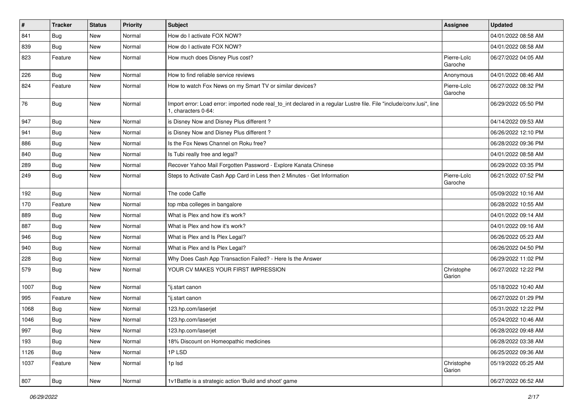| $\vert$ # | <b>Tracker</b> | <b>Status</b> | <b>Priority</b> | <b>Subject</b>                                                                                                                               | Assignee               | <b>Updated</b>      |
|-----------|----------------|---------------|-----------------|----------------------------------------------------------------------------------------------------------------------------------------------|------------------------|---------------------|
| 841       | Bug            | New           | Normal          | How do I activate FOX NOW?                                                                                                                   |                        | 04/01/2022 08:58 AM |
| 839       | Bug            | New           | Normal          | How do I activate FOX NOW?                                                                                                                   |                        | 04/01/2022 08:58 AM |
| 823       | Feature        | New           | Normal          | How much does Disney Plus cost?                                                                                                              | Pierre-Loïc<br>Garoche | 06/27/2022 04:05 AM |
| 226       | Bug            | New           | Normal          | How to find reliable service reviews                                                                                                         | Anonymous              | 04/01/2022 08:46 AM |
| 824       | Feature        | New           | Normal          | How to watch Fox News on my Smart TV or similar devices?                                                                                     | Pierre-Loïc<br>Garoche | 06/27/2022 08:32 PM |
| 76        | <b>Bug</b>     | New           | Normal          | Import error: Load error: imported node real_to_int declared in a regular Lustre file. File "include/conv.lusi", line<br>1, characters 0-64: |                        | 06/29/2022 05:50 PM |
| 947       | Bug            | New           | Normal          | is Disney Now and Disney Plus different?                                                                                                     |                        | 04/14/2022 09:53 AM |
| 941       | Bug            | New           | Normal          | is Disney Now and Disney Plus different?                                                                                                     |                        | 06/26/2022 12:10 PM |
| 886       | <b>Bug</b>     | New           | Normal          | Is the Fox News Channel on Roku free?                                                                                                        |                        | 06/28/2022 09:36 PM |
| 840       | Bug            | New           | Normal          | Is Tubi really free and legal?                                                                                                               |                        | 04/01/2022 08:58 AM |
| 289       | <b>Bug</b>     | New           | Normal          | Recover Yahoo Mail Forgotten Password - Explore Kanata Chinese                                                                               |                        | 06/29/2022 03:35 PM |
| 249       | <b>Bug</b>     | New           | Normal          | Steps to Activate Cash App Card in Less then 2 Minutes - Get Information                                                                     | Pierre-Loïc<br>Garoche | 06/21/2022 07:52 PM |
| 192       | Bug            | New           | Normal          | The code Caffe                                                                                                                               |                        | 05/09/2022 10:16 AM |
| 170       | Feature        | New           | Normal          | top mba colleges in bangalore                                                                                                                |                        | 06/28/2022 10:55 AM |
| 889       | Bug            | New           | Normal          | What is Plex and how it's work?                                                                                                              |                        | 04/01/2022 09:14 AM |
| 887       | Bug            | New           | Normal          | What is Plex and how it's work?                                                                                                              |                        | 04/01/2022 09:16 AM |
| 946       | Bug            | New           | Normal          | What is Plex and Is Plex Legal?                                                                                                              |                        | 06/26/2022 05:23 AM |
| 940       | <b>Bug</b>     | New           | Normal          | What is Plex and Is Plex Legal?                                                                                                              |                        | 06/26/2022 04:50 PM |
| 228       | Bug            | New           | Normal          | Why Does Cash App Transaction Failed? - Here Is the Answer                                                                                   |                        | 06/29/2022 11:02 PM |
| 579       | Bug            | New           | Normal          | YOUR CV MAKES YOUR FIRST IMPRESSION                                                                                                          | Christophe<br>Garion   | 06/27/2022 12:22 PM |
| 1007      | Bug            | New           | Normal          | "ij.start canon                                                                                                                              |                        | 05/18/2022 10:40 AM |
| 995       | Feature        | New           | Normal          | 'ij.start canon                                                                                                                              |                        | 06/27/2022 01:29 PM |
| 1068      | Bug            | New           | Normal          | 123.hp.com/laserjet                                                                                                                          |                        | 05/31/2022 12:22 PM |
| 1046      | <b>Bug</b>     | New           | Normal          | 123.hp.com/laserjet                                                                                                                          |                        | 05/24/2022 10:46 AM |
| 997       | Bug            | New           | Normal          | 123.hp.com/laserjet                                                                                                                          |                        | 06/28/2022 09:48 AM |
| 193       | Bug            | New           | Normal          | 18% Discount on Homeopathic medicines                                                                                                        |                        | 06/28/2022 03:38 AM |
| 1126      | Bug            | New           | Normal          | 1PLSD                                                                                                                                        |                        | 06/25/2022 09:36 AM |
| 1037      | Feature        | New           | Normal          | 1p lsd                                                                                                                                       | Christophe<br>Garion   | 05/19/2022 05:25 AM |
| 807       | Bug            | New           | Normal          | 1v1Battle is a strategic action 'Build and shoot' game                                                                                       |                        | 06/27/2022 06:52 AM |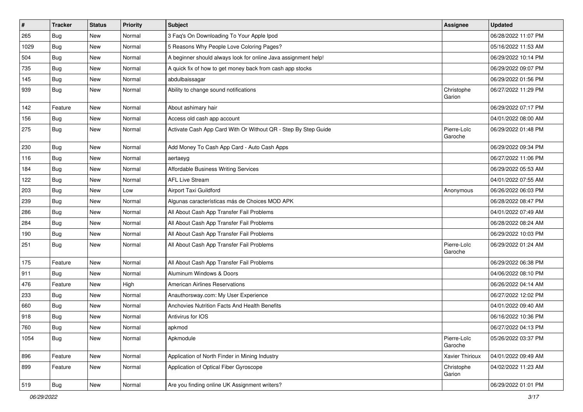| $\vert$ # | <b>Tracker</b> | <b>Status</b> | <b>Priority</b> | <b>Subject</b>                                                 | <b>Assignee</b>        | <b>Updated</b>      |
|-----------|----------------|---------------|-----------------|----------------------------------------------------------------|------------------------|---------------------|
| 265       | Bug            | New           | Normal          | 3 Faq's On Downloading To Your Apple Ipod                      |                        | 06/28/2022 11:07 PM |
| 1029      | <b>Bug</b>     | New           | Normal          | 5 Reasons Why People Love Coloring Pages?                      |                        | 05/16/2022 11:53 AM |
| 504       | <b>Bug</b>     | New           | Normal          | A beginner should always look for online Java assignment help! |                        | 06/29/2022 10:14 PM |
| 735       | <b>Bug</b>     | New           | Normal          | A quick fix of how to get money back from cash app stocks      |                        | 06/29/2022 09:07 PM |
| 145       | Bug            | New           | Normal          | abdulbaissagar                                                 |                        | 06/29/2022 01:56 PM |
| 939       | Bug            | New           | Normal          | Ability to change sound notifications                          | Christophe<br>Garion   | 06/27/2022 11:29 PM |
| 142       | Feature        | New           | Normal          | About ashimary hair                                            |                        | 06/29/2022 07:17 PM |
| 156       | Bug            | New           | Normal          | Access old cash app account                                    |                        | 04/01/2022 08:00 AM |
| 275       | Bug            | New           | Normal          | Activate Cash App Card With Or Without QR - Step By Step Guide | Pierre-Loïc<br>Garoche | 06/29/2022 01:48 PM |
| 230       | <b>Bug</b>     | New           | Normal          | Add Money To Cash App Card - Auto Cash Apps                    |                        | 06/29/2022 09:34 PM |
| 116       | Bug            | New           | Normal          | aertaeyg                                                       |                        | 06/27/2022 11:06 PM |
| 184       | Bug            | New           | Normal          | Affordable Business Writing Services                           |                        | 06/29/2022 05:53 AM |
| 122       | Bug            | New           | Normal          | <b>AFL Live Stream</b>                                         |                        | 04/01/2022 07:55 AM |
| 203       | <b>Bug</b>     | New           | Low             | Airport Taxi Guildford                                         | Anonymous              | 06/26/2022 06:03 PM |
| 239       | Bug            | New           | Normal          | Algunas características más de Choices MOD APK                 |                        | 06/28/2022 08:47 PM |
| 286       | Bug            | New           | Normal          | All About Cash App Transfer Fail Problems                      |                        | 04/01/2022 07:49 AM |
| 284       | <b>Bug</b>     | New           | Normal          | All About Cash App Transfer Fail Problems                      |                        | 06/28/2022 08:24 AM |
| 190       | <b>Bug</b>     | New           | Normal          | All About Cash App Transfer Fail Problems                      |                        | 06/29/2022 10:03 PM |
| 251       | Bug            | New           | Normal          | All About Cash App Transfer Fail Problems                      | Pierre-Loïc<br>Garoche | 06/29/2022 01:24 AM |
| 175       | Feature        | New           | Normal          | All About Cash App Transfer Fail Problems                      |                        | 06/29/2022 06:38 PM |
| 911       | <b>Bug</b>     | New           | Normal          | Aluminum Windows & Doors                                       |                        | 04/06/2022 08:10 PM |
| 476       | Feature        | New           | High            | <b>American Airlines Reservations</b>                          |                        | 06/26/2022 04:14 AM |
| 233       | Bug            | New           | Normal          | Anauthorsway.com: My User Experience                           |                        | 06/27/2022 12:02 PM |
| 660       | <b>Bug</b>     | New           | Normal          | Anchovies Nutrition Facts And Health Benefits                  |                        | 04/01/2022 09:40 AM |
| 918       | <b>Bug</b>     | New           | Normal          | Antivirus for IOS                                              |                        | 06/16/2022 10:36 PM |
| 760       | Bug            | New           | Normal          | apkmod                                                         |                        | 06/27/2022 04:13 PM |
| 1054      | Bug            | New           | Normal          | Apkmodule                                                      | Pierre-Loïc<br>Garoche | 05/26/2022 03:37 PM |
| 896       | Feature        | New           | Normal          | Application of North Finder in Mining Industry                 | Xavier Thirioux        | 04/01/2022 09:49 AM |
| 899       | Feature        | New           | Normal          | Application of Optical Fiber Gyroscope                         | Christophe<br>Garion   | 04/02/2022 11:23 AM |
| 519       | Bug            | New           | Normal          | Are you finding online UK Assignment writers?                  |                        | 06/29/2022 01:01 PM |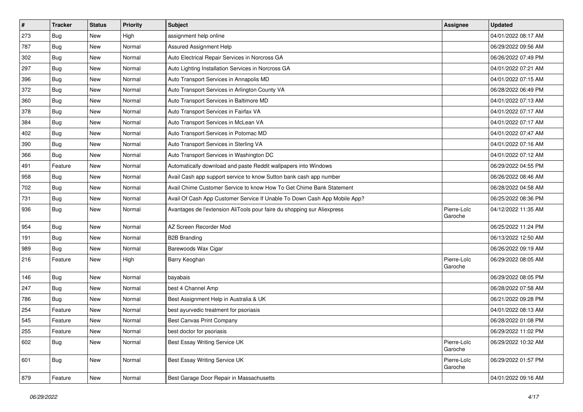| $\vert$ # | <b>Tracker</b> | <b>Status</b> | <b>Priority</b> | <b>Subject</b>                                                            | <b>Assignee</b>        | <b>Updated</b>      |
|-----------|----------------|---------------|-----------------|---------------------------------------------------------------------------|------------------------|---------------------|
| 273       | Bug            | New           | High            | assignment help online                                                    |                        | 04/01/2022 08:17 AM |
| 787       | Bug            | <b>New</b>    | Normal          | Assured Assignment Help                                                   |                        | 06/29/2022 09:56 AM |
| 302       | <b>Bug</b>     | New           | Normal          | Auto Electrical Repair Services in Norcross GA                            |                        | 06/26/2022 07:49 PM |
| 297       | <b>Bug</b>     | New           | Normal          | Auto Lighting Installation Services in Norcross GA                        |                        | 04/01/2022 07:21 AM |
| 396       | Bug            | New           | Normal          | Auto Transport Services in Annapolis MD                                   |                        | 04/01/2022 07:15 AM |
| 372       | Bug            | New           | Normal          | Auto Transport Services in Arlington County VA                            |                        | 06/28/2022 06:49 PM |
| 360       | Bug            | New           | Normal          | Auto Transport Services in Baltimore MD                                   |                        | 04/01/2022 07:13 AM |
| 378       | Bug            | New           | Normal          | Auto Transport Services in Fairfax VA                                     |                        | 04/01/2022 07:17 AM |
| 384       | <b>Bug</b>     | <b>New</b>    | Normal          | Auto Transport Services in McLean VA                                      |                        | 04/01/2022 07:17 AM |
| 402       | Bug            | New           | Normal          | Auto Transport Services in Potomac MD                                     |                        | 04/01/2022 07:47 AM |
| 390       | Bug            | New           | Normal          | Auto Transport Services in Sterling VA                                    |                        | 04/01/2022 07:16 AM |
| 366       | Bug            | New           | Normal          | Auto Transport Services in Washington DC                                  |                        | 04/01/2022 07:12 AM |
| 491       | Feature        | New           | Normal          | Automatically download and paste Reddit wallpapers into Windows           |                        | 06/29/2022 04:55 PM |
| 958       | <b>Bug</b>     | New           | Normal          | Avail Cash app support service to know Sutton bank cash app number        |                        | 06/26/2022 08:46 AM |
| 702       | Bug            | New           | Normal          | Avail Chime Customer Service to know How To Get Chime Bank Statement      |                        | 06/28/2022 04:58 AM |
| 731       | <b>Bug</b>     | New           | Normal          | Avail Of Cash App Customer Service If Unable To Down Cash App Mobile App? |                        | 06/25/2022 08:36 PM |
| 936       | <b>Bug</b>     | New           | Normal          | Avantages de l'extension AliTools pour faire du shopping sur Aliexpress   | Pierre-Loïc<br>Garoche | 04/12/2022 11:35 AM |
| 954       | <b>Bug</b>     | New           | Normal          | AZ Screen Recorder Mod                                                    |                        | 06/25/2022 11:24 PM |
| 191       | Bug            | New           | Normal          | <b>B2B Branding</b>                                                       |                        | 06/13/2022 12:50 AM |
| 989       | <b>Bug</b>     | New           | Normal          | Barewoods Wax Cigar                                                       |                        | 06/26/2022 09:19 AM |
| 216       | Feature        | New           | High            | Barry Keoghan                                                             | Pierre-Loïc<br>Garoche | 06/29/2022 08:05 AM |
| 146       | <b>Bug</b>     | New           | Normal          | bayabais                                                                  |                        | 06/29/2022 08:05 PM |
| 247       | <b>Bug</b>     | New           | Normal          | best 4 Channel Amp                                                        |                        | 06/28/2022 07:58 AM |
| 786       | <b>Bug</b>     | New           | Normal          | Best Assignment Help in Australia & UK                                    |                        | 06/21/2022 09:28 PM |
| 254       | Feature        | New           | Normal          | best ayurvedic treatment for psoriasis                                    |                        | 04/01/2022 08:13 AM |
| 545       | Feature        | <b>New</b>    | Normal          | Best Canvas Print Company                                                 |                        | 06/28/2022 01:08 PM |
| 255       | Feature        | New           | Normal          | best doctor for psoriasis                                                 |                        | 06/29/2022 11:02 PM |
| 602       | Bug            | New           | Normal          | Best Essay Writing Service UK                                             | Pierre-Loïc<br>Garoche | 06/29/2022 10:32 AM |
| 601       | Bug            | New           | Normal          | <b>Best Essay Writing Service UK</b>                                      | Pierre-Loïc<br>Garoche | 06/29/2022 01:57 PM |
| 879       | Feature        | New           | Normal          | Best Garage Door Repair in Massachusetts                                  |                        | 04/01/2022 09:16 AM |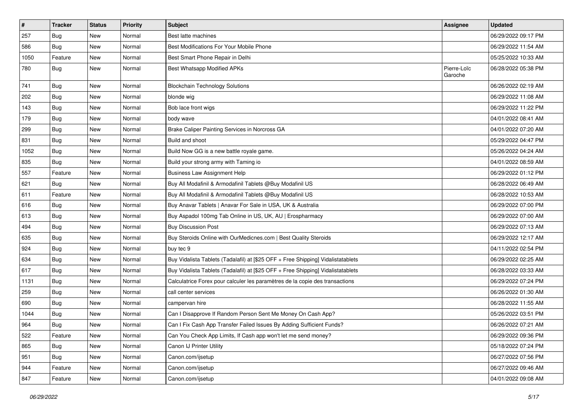| $\sharp$ | <b>Tracker</b> | <b>Status</b> | <b>Priority</b> | Subject                                                                          | <b>Assignee</b>        | <b>Updated</b>      |
|----------|----------------|---------------|-----------------|----------------------------------------------------------------------------------|------------------------|---------------------|
| 257      | Bug            | New           | Normal          | Best latte machines                                                              |                        | 06/29/2022 09:17 PM |
| 586      | <b>Bug</b>     | <b>New</b>    | Normal          | Best Modifications For Your Mobile Phone                                         |                        | 06/29/2022 11:54 AM |
| 1050     | Feature        | New           | Normal          | Best Smart Phone Repair in Delhi                                                 |                        | 05/25/2022 10:33 AM |
| 780      | Bug            | New           | Normal          | Best Whatsapp Modified APKs                                                      | Pierre-Loïc<br>Garoche | 06/28/2022 05:38 PM |
| 741      | <b>Bug</b>     | New           | Normal          | <b>Blockchain Technology Solutions</b>                                           |                        | 06/26/2022 02:19 AM |
| 202      | Bug            | New           | Normal          | blonde wig                                                                       |                        | 06/29/2022 11:08 AM |
| 143      | Bug            | New           | Normal          | Bob lace front wigs                                                              |                        | 06/29/2022 11:22 PM |
| 179      | Bug            | New           | Normal          | body wave                                                                        |                        | 04/01/2022 08:41 AM |
| 299      | Bug            | New           | Normal          | Brake Caliper Painting Services in Norcross GA                                   |                        | 04/01/2022 07:20 AM |
| 831      | <b>Bug</b>     | New           | Normal          | Build and shoot                                                                  |                        | 05/29/2022 04:47 PM |
| 1052     | Bug            | New           | Normal          | Build Now GG is a new battle royale game.                                        |                        | 05/26/2022 04:24 AM |
| 835      | <b>Bug</b>     | New           | Normal          | Build your strong army with Taming io                                            |                        | 04/01/2022 08:59 AM |
| 557      | Feature        | New           | Normal          | <b>Business Law Assignment Help</b>                                              |                        | 06/29/2022 01:12 PM |
| 621      | <b>Bug</b>     | New           | Normal          | Buy All Modafinil & Armodafinil Tablets @Buy Modafinil US                        |                        | 06/28/2022 06:49 AM |
| 611      | Feature        | New           | Normal          | Buy All Modafinil & Armodafinil Tablets @Buy Modafinil US                        |                        | 06/28/2022 10:53 AM |
| 616      | Bug            | New           | Normal          | Buy Anavar Tablets   Anavar For Sale in USA, UK & Australia                      |                        | 06/29/2022 07:00 PM |
| 613      | Bug            | New           | Normal          | Buy Aspadol 100mg Tab Online in US, UK, AU   Erospharmacy                        |                        | 06/29/2022 07:00 AM |
| 494      | Bug            | New           | Normal          | <b>Buy Discussion Post</b>                                                       |                        | 06/29/2022 07:13 AM |
| 635      | Bug            | New           | Normal          | Buy Steroids Online with OurMedicnes.com   Best Quality Steroids                 |                        | 06/29/2022 12:17 AM |
| 924      | Bug            | New           | Normal          | buy tec 9                                                                        |                        | 04/11/2022 02:54 PM |
| 634      | <b>Bug</b>     | New           | Normal          | Buy Vidalista Tablets (Tadalafil) at [\$25 OFF + Free Shipping] Vidalistatablets |                        | 06/29/2022 02:25 AM |
| 617      | Bug            | New           | Normal          | Buy Vidalista Tablets (Tadalafil) at [\$25 OFF + Free Shipping] Vidalistatablets |                        | 06/28/2022 03:33 AM |
| 1131     | <b>Bug</b>     | New           | Normal          | Calculatrice Forex pour calculer les paramètres de la copie des transactions     |                        | 06/29/2022 07:24 PM |
| 259      | Bug            | New           | Normal          | call center services                                                             |                        | 06/26/2022 01:30 AM |
| 690      | <b>Bug</b>     | New           | Normal          | campervan hire                                                                   |                        | 06/28/2022 11:55 AM |
| 1044     | Bug            | New           | Normal          | Can I Disapprove If Random Person Sent Me Money On Cash App?                     |                        | 05/26/2022 03:51 PM |
| 964      | Bug            | New           | Normal          | Can I Fix Cash App Transfer Failed Issues By Adding Sufficient Funds?            |                        | 06/26/2022 07:21 AM |
| 522      | Feature        | New           | Normal          | Can You Check App Limits, If Cash app won't let me send money?                   |                        | 06/29/2022 09:36 PM |
| 865      | <b>Bug</b>     | New           | Normal          | Canon IJ Printer Utility                                                         |                        | 05/18/2022 07:24 PM |
| 951      | Bug            | New           | Normal          | Canon.com/ijsetup                                                                |                        | 06/27/2022 07:56 PM |
| 944      | Feature        | New           | Normal          | Canon.com/ijsetup                                                                |                        | 06/27/2022 09:46 AM |
| 847      | Feature        | New           | Normal          | Canon.com/ijsetup                                                                |                        | 04/01/2022 09:08 AM |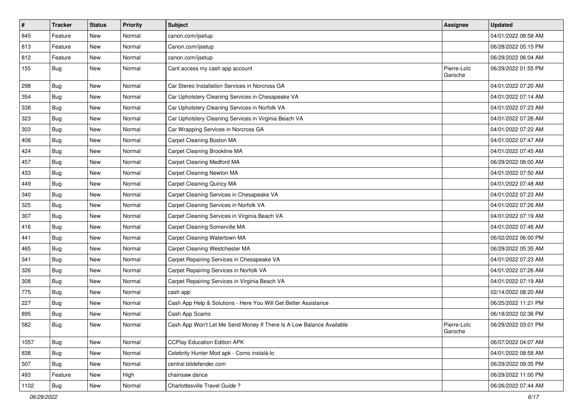| $\sharp$ | <b>Tracker</b> | <b>Status</b> | <b>Priority</b> | Subject                                                              | <b>Assignee</b>        | <b>Updated</b>      |
|----------|----------------|---------------|-----------------|----------------------------------------------------------------------|------------------------|---------------------|
| 845      | Feature        | New           | Normal          | canon.com/ijsetup                                                    |                        | 04/01/2022 08:58 AM |
| 813      | Feature        | New           | Normal          | Canon.com/ijsetup                                                    |                        | 06/28/2022 05:15 PM |
| 812      | Feature        | New           | Normal          | canon.com/ijsetup                                                    |                        | 06/29/2022 06:04 AM |
| 155      | Bug            | New           | Normal          | Cant access my cash app account                                      | Pierre-Loïc<br>Garoche | 06/29/2022 01:55 PM |
| 298      | Bug            | New           | Normal          | Car Stereo Installation Services in Norcross GA                      |                        | 04/01/2022 07:20 AM |
| 354      | Bug            | New           | Normal          | Car Upholstery Cleaning Services in Chesapeake VA                    |                        | 04/01/2022 07:14 AM |
| 338      | Bug            | New           | Normal          | Car Upholstery Cleaning Services in Norfolk VA                       |                        | 04/01/2022 07:23 AM |
| 323      | <b>Bug</b>     | New           | Normal          | Car Upholstery Cleaning Services in Virginia Beach VA                |                        | 04/01/2022 07:26 AM |
| 303      | <b>Bug</b>     | New           | Normal          | Car Wrapping Services in Norcross GA                                 |                        | 04/01/2022 07:22 AM |
| 408      | Bug            | New           | Normal          | Carpet Cleaning Boston MA                                            |                        | 04/01/2022 07:47 AM |
| 424      | <b>Bug</b>     | New           | Normal          | Carpet Cleaning Brookline MA                                         |                        | 04/01/2022 07:45 AM |
| 457      | Bug            | New           | Normal          | Carpet Cleaning Medford MA                                           |                        | 06/29/2022 06:00 AM |
| 433      | Bug            | New           | Normal          | Carpet Cleaning Newton MA                                            |                        | 04/01/2022 07:50 AM |
| 449      | <b>Bug</b>     | New           | Normal          | Carpet Cleaning Quincy MA                                            |                        | 04/01/2022 07:48 AM |
| 340      | Bug            | New           | Normal          | Carpet Cleaning Services in Chesapeake VA                            |                        | 04/01/2022 07:23 AM |
| 325      | <b>Bug</b>     | <b>New</b>    | Normal          | Carpet Cleaning Services in Norfolk VA                               |                        | 04/01/2022 07:26 AM |
| 307      | Bug            | New           | Normal          | Carpet Cleaning Services in Virginia Beach VA                        |                        | 04/01/2022 07:19 AM |
| 416      | <b>Bug</b>     | New           | Normal          | Carpet Cleaning Somerville MA                                        |                        | 04/01/2022 07:46 AM |
| 441      | Bug            | New           | Normal          | Carpet Cleaning Watertown MA                                         |                        | 06/02/2022 06:00 PM |
| 465      | Bug            | New           | Normal          | Carpet Cleaning Westchester MA                                       |                        | 06/29/2022 05:35 AM |
| 341      | <b>Bug</b>     | New           | Normal          | Carpet Repairing Services in Chesapeake VA                           |                        | 04/01/2022 07:23 AM |
| 326      | Bug            | New           | Normal          | Carpet Repairing Services in Norfolk VA                              |                        | 04/01/2022 07:26 AM |
| 308      | Bug            | New           | Normal          | Carpet Repairing Services in Virginia Beach VA                       |                        | 04/01/2022 07:19 AM |
| 775      | Bug            | New           | Normal          | cash app                                                             |                        | 02/14/2022 08:20 AM |
| 227      | <b>Bug</b>     | New           | Normal          | Cash App Help & Solutions - Here You Will Get Better Assistance      |                        | 06/25/2022 11:21 PM |
| 895      | Bug            | New           | Normal          | Cash App Scams                                                       |                        | 06/18/2022 02:36 PM |
| 582      | <b>Bug</b>     | <b>New</b>    | Normal          | Cash App Won't Let Me Send Money If There Is A Low Balance Available | Pierre-Loïc<br>Garoche | 06/29/2022 03:01 PM |
| 1057     | Bug            | New           | Normal          | <b>CCPlay Education Edition APK</b>                                  |                        | 06/07/2022 04:07 AM |
| 838      | Bug            | New           | Normal          | Celebrity Hunter Mod apk - Como instalá-lo                           |                        | 04/01/2022 08:58 AM |
| 507      | Bug            | New           | Normal          | central.bitdefender.com                                              |                        | 06/29/2022 09:35 PM |
| 493      | Feature        | New           | High            | chainsaw dance                                                       |                        | 06/29/2022 11:00 PM |
| 1102     | Bug            | New           | Normal          | Charlottesville Travel Guide?                                        |                        | 06/26/2022 07:44 AM |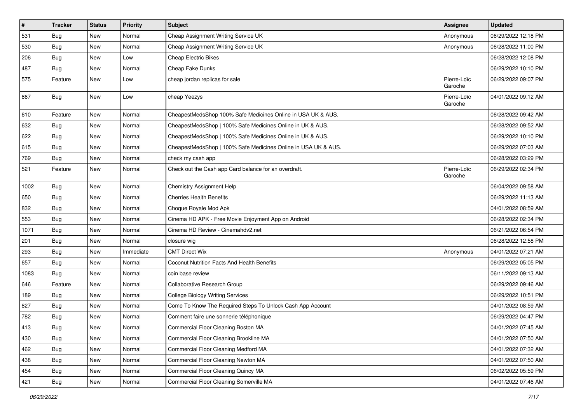| $\vert$ # | <b>Tracker</b> | <b>Status</b> | Priority  | <b>Subject</b>                                                 | <b>Assignee</b>        | <b>Updated</b>      |
|-----------|----------------|---------------|-----------|----------------------------------------------------------------|------------------------|---------------------|
| 531       | Bug            | New           | Normal    | Cheap Assignment Writing Service UK                            | Anonymous              | 06/29/2022 12:18 PM |
| 530       | <b>Bug</b>     | <b>New</b>    | Normal    | Cheap Assignment Writing Service UK                            | Anonymous              | 06/28/2022 11:00 PM |
| 206       | <b>Bug</b>     | New           | Low       | <b>Cheap Electric Bikes</b>                                    |                        | 06/28/2022 12:08 PM |
| 487       | <b>Bug</b>     | New           | Normal    | Cheap Fake Dunks                                               |                        | 06/29/2022 10:10 PM |
| 575       | Feature        | New           | Low       | cheap jordan replicas for sale                                 | Pierre-Loïc<br>Garoche | 06/29/2022 09:07 PM |
| 867       | <b>Bug</b>     | New           | Low       | cheap Yeezys                                                   | Pierre-Loïc<br>Garoche | 04/01/2022 09:12 AM |
| 610       | Feature        | New           | Normal    | CheapestMedsShop 100% Safe Medicines Online in USA UK & AUS.   |                        | 06/28/2022 09:42 AM |
| 632       | Bug            | New           | Normal    | CheapestMedsShop   100% Safe Medicines Online in UK & AUS.     |                        | 06/28/2022 09:52 AM |
| 622       | Bug            | New           | Normal    | CheapestMedsShop   100% Safe Medicines Online in UK & AUS.     |                        | 06/29/2022 10:10 PM |
| 615       | <b>Bug</b>     | New           | Normal    | CheapestMedsShop   100% Safe Medicines Online in USA UK & AUS. |                        | 06/29/2022 07:03 AM |
| 769       | <b>Bug</b>     | New           | Normal    | check my cash app                                              |                        | 06/28/2022 03:29 PM |
| 521       | Feature        | New           | Normal    | Check out the Cash app Card balance for an overdraft.          | Pierre-Loïc<br>Garoche | 06/29/2022 02:34 PM |
| 1002      | <b>Bug</b>     | New           | Normal    | <b>Chemistry Assignment Help</b>                               |                        | 06/04/2022 09:58 AM |
| 650       | <b>Bug</b>     | New           | Normal    | <b>Cherries Health Benefits</b>                                |                        | 06/29/2022 11:13 AM |
| 832       | Bug            | New           | Normal    | Choque Royale Mod Apk                                          |                        | 04/01/2022 08:59 AM |
| 553       | Bug            | New           | Normal    | Cinema HD APK - Free Movie Enjoyment App on Android            |                        | 06/28/2022 02:34 PM |
| 1071      | Bug            | New           | Normal    | Cinema HD Review - Cinemahdv2.net                              |                        | 06/21/2022 06:54 PM |
| 201       | Bug            | New           | Normal    | closure wig                                                    |                        | 06/28/2022 12:58 PM |
| 293       | Bug            | New           | Immediate | <b>CMT Direct Wix</b>                                          | Anonymous              | 04/01/2022 07:21 AM |
| 657       | Bug            | New           | Normal    | Coconut Nutrition Facts And Health Benefits                    |                        | 06/29/2022 05:05 PM |
| 1083      | Bug            | New           | Normal    | coin base review                                               |                        | 06/11/2022 09:13 AM |
| 646       | Feature        | New           | Normal    | Collaborative Research Group                                   |                        | 06/29/2022 09:46 AM |
| 189       | Bug            | New           | Normal    | <b>College Biology Writing Services</b>                        |                        | 06/29/2022 10:51 PM |
| 827       | Bug            | New           | Normal    | Come To Know The Required Steps To Unlock Cash App Account     |                        | 04/01/2022 08:59 AM |
| 782       | Bug            | New           | Normal    | Comment faire une sonnerie téléphonique                        |                        | 06/29/2022 04:47 PM |
| 413       | Bug            | New           | Normal    | Commercial Floor Cleaning Boston MA                            |                        | 04/01/2022 07:45 AM |
| 430       | <b>Bug</b>     | New           | Normal    | Commercial Floor Cleaning Brookline MA                         |                        | 04/01/2022 07:50 AM |
| 462       | <b>Bug</b>     | New           | Normal    | Commercial Floor Cleaning Medford MA                           |                        | 04/01/2022 07:32 AM |
| 438       | Bug            | New           | Normal    | Commercial Floor Cleaning Newton MA                            |                        | 04/01/2022 07:50 AM |
| 454       | Bug            | New           | Normal    | Commercial Floor Cleaning Quincy MA                            |                        | 06/02/2022 05:59 PM |
| 421       | Bug            | New           | Normal    | Commercial Floor Cleaning Somerville MA                        |                        | 04/01/2022 07:46 AM |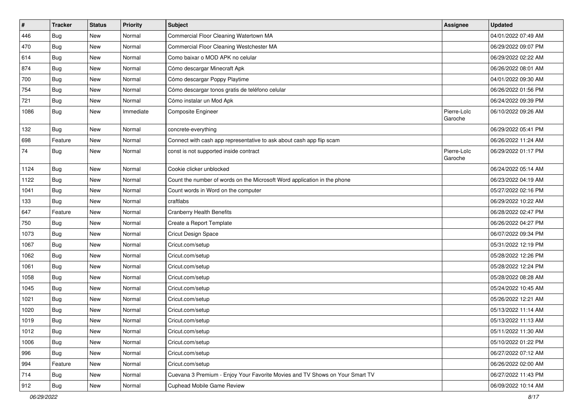| $\vert$ #     | <b>Tracker</b> | <b>Status</b> | <b>Priority</b> | <b>Subject</b>                                                               | <b>Assignee</b>        | <b>Updated</b>      |
|---------------|----------------|---------------|-----------------|------------------------------------------------------------------------------|------------------------|---------------------|
| 446           | Bug            | New           | Normal          | Commercial Floor Cleaning Watertown MA                                       |                        | 04/01/2022 07:49 AM |
| 470           | Bug            | <b>New</b>    | Normal          | Commercial Floor Cleaning Westchester MA                                     |                        | 06/29/2022 09:07 PM |
| 614           | Bug            | New           | Normal          | Como baixar o MOD APK no celular                                             |                        | 06/29/2022 02:22 AM |
| 874           | <b>Bug</b>     | New           | Normal          | Cómo descargar Minecraft Apk                                                 |                        | 06/26/2022 08:01 AM |
| 700           | Bug            | New           | Normal          | Cómo descargar Poppy Playtime                                                |                        | 04/01/2022 09:30 AM |
| 754           | <b>Bug</b>     | New           | Normal          | Cómo descargar tonos gratis de teléfono celular                              |                        | 06/26/2022 01:56 PM |
| 721           | Bug            | New           | Normal          | Cómo instalar un Mod Apk                                                     |                        | 06/24/2022 09:39 PM |
| 1086          | Bug            | New           | Immediate       | Composite Engineer                                                           | Pierre-Loïc<br>Garoche | 06/10/2022 09:26 AM |
| 132           | Bug            | New           | Normal          | concrete-everything                                                          |                        | 06/29/2022 05:41 PM |
| 698           | Feature        | New           | Normal          | Connect with cash app representative to ask about cash app flip scam         |                        | 06/26/2022 11:24 AM |
| 74            | <b>Bug</b>     | New           | Normal          | const is not supported inside contract                                       | Pierre-Loïc<br>Garoche | 06/29/2022 01:17 PM |
| 1124          | Bug            | New           | Normal          | Cookie clicker unblocked                                                     |                        | 06/24/2022 05:14 AM |
| 1122          | Bug            | New           | Normal          | Count the number of words on the Microsoft Word application in the phone     |                        | 06/23/2022 04:19 AM |
| 1041          | Bug            | New           | Normal          | Count words in Word on the computer                                          |                        | 05/27/2022 02:16 PM |
| 133           | Bug            | New           | Normal          | craftlabs                                                                    |                        | 06/29/2022 10:22 AM |
| 647           | Feature        | New           | Normal          | <b>Cranberry Health Benefits</b>                                             |                        | 06/28/2022 02:47 PM |
| 750           | Bug            | New           | Normal          | Create a Report Template                                                     |                        | 06/26/2022 04:27 PM |
| 1073          | Bug            | New           | Normal          | Cricut Design Space                                                          |                        | 06/07/2022 09:34 PM |
| 1067          | Bug            | New           | Normal          | Cricut.com/setup                                                             |                        | 05/31/2022 12:19 PM |
| 1062          | Bug            | New           | Normal          | Cricut.com/setup                                                             |                        | 05/28/2022 12:26 PM |
| 1061          | <b>Bug</b>     | New           | Normal          | Cricut.com/setup                                                             |                        | 05/28/2022 12:24 PM |
| 1058          | Bug            | New           | Normal          | Cricut.com/setup                                                             |                        | 05/28/2022 08:28 AM |
| 1045          | <b>Bug</b>     | New           | Normal          | Cricut.com/setup                                                             |                        | 05/24/2022 10:45 AM |
| 1021          | Bug            | New           | Normal          | Cricut.com/setup                                                             |                        | 05/26/2022 12:21 AM |
| 1020          | Bug            | New           | Normal          | Cricut.com/setup                                                             |                        | 05/13/2022 11:14 AM |
| 1019          | Bug            | New           | Normal          | Cricut.com/setup                                                             |                        | 05/13/2022 11:13 AM |
| 1012          | <b>Bug</b>     | New           | Normal          | Cricut.com/setup                                                             |                        | 05/11/2022 11:30 AM |
| 1006          | Bug            | New           | Normal          | Cricut.com/setup                                                             |                        | 05/10/2022 01:22 PM |
| 996           | Bug            | New           | Normal          | Cricut.com/setup                                                             |                        | 06/27/2022 07:12 AM |
| 994           | Feature        | New           | Normal          | Cricut.com/setup                                                             |                        | 06/26/2022 02:00 AM |
| 714           | <b>Bug</b>     | New           | Normal          | Cuevana 3 Premium - Enjoy Your Favorite Movies and TV Shows on Your Smart TV |                        | 06/27/2022 11:43 PM |
| $ 912\rangle$ | <b>Bug</b>     | New           | Normal          | Cuphead Mobile Game Review                                                   |                        | 06/09/2022 10:14 AM |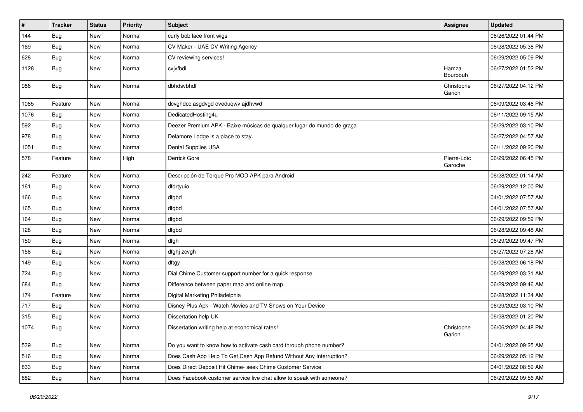| $\pmb{\#}$ | Tracker          | <b>Status</b> | <b>Priority</b> | <b>Subject</b>                                                         | <b>Assignee</b>        | <b>Updated</b>      |
|------------|------------------|---------------|-----------------|------------------------------------------------------------------------|------------------------|---------------------|
| 144        | <b>Bug</b>       | New           | Normal          | curly bob lace front wigs                                              |                        | 06/26/2022 01:44 PM |
| 169        | <b>Bug</b>       | New           | Normal          | CV Maker - UAE CV Writing Agency                                       |                        | 06/28/2022 05:38 PM |
| 628        | <b>Bug</b>       | New           | Normal          | CV reviewing services!                                                 |                        | 06/29/2022 05:09 PM |
| 1128       | Bug              | New           | Normal          | cvjvfbdi                                                               | Hamza<br>Bourbouh      | 06/27/2022 01:52 PM |
| 986        | Bug              | New           | Normal          | dbhdsvbhdf                                                             | Christophe<br>Garion   | 06/27/2022 04:12 PM |
| 1085       | Feature          | New           | Normal          | dcvghdcc asgdvgd dveduqwv ajdhvwd                                      |                        | 06/09/2022 03:46 PM |
| 1076       | <b>Bug</b>       | New           | Normal          | DedicatedHosting4u                                                     |                        | 06/11/2022 09:15 AM |
| 592        | Bug              | New           | Normal          | Deezer Premium APK - Baixe músicas de qualquer lugar do mundo de graça |                        | 06/29/2022 03:10 PM |
| 978        | <b>Bug</b>       | New           | Normal          | Delamore Lodge is a place to stay.                                     |                        | 06/27/2022 04:57 AM |
| 1051       | Bug              | New           | Normal          | Dental Supplies USA                                                    |                        | 06/11/2022 09:20 PM |
| 578        | Feature          | New           | High            | Derrick Gore                                                           | Pierre-Loïc<br>Garoche | 06/29/2022 06:45 PM |
| 242        | Feature          | New           | Normal          | Descripción de Torque Pro MOD APK para Android                         |                        | 06/28/2022 01:14 AM |
| 161        | <b>Bug</b>       | New           | Normal          | dfdrtyuio                                                              |                        | 06/29/2022 12:00 PM |
| 166        | <b>Bug</b>       | New           | Normal          | dfgbd                                                                  |                        | 04/01/2022 07:57 AM |
| 165        | Bug              | New           | Normal          | dfgbd                                                                  |                        | 04/01/2022 07:57 AM |
| 164        | <b>Bug</b>       | New           | Normal          | dfgbd                                                                  |                        | 06/29/2022 09:59 PM |
| 128        | Bug              | New           | Normal          | dfgbd                                                                  |                        | 06/28/2022 09:48 AM |
| 150        | <b>Bug</b>       | New           | Normal          | dfgh                                                                   |                        | 06/29/2022 09:47 PM |
| 158        | <b>Bug</b>       | New           | Normal          | dfghj zcvgh                                                            |                        | 06/27/2022 07:28 AM |
| 149        | Bug              | New           | Normal          | dftgy                                                                  |                        | 06/28/2022 06:18 PM |
| 724        | <b>Bug</b>       | New           | Normal          | Dial Chime Customer support number for a quick response                |                        | 06/29/2022 03:31 AM |
| 684        | <b>Bug</b>       | New           | Normal          | Difference between paper map and online map                            |                        | 06/29/2022 09:46 AM |
| 174        | Feature          | New           | Normal          | Digital Marketing Philadelphia                                         |                        | 06/28/2022 11:34 AM |
| 717        | Bug              | New           | Normal          | Disney Plus Apk - Watch Movies and TV Shows on Your Device             |                        | 06/29/2022 03:10 PM |
| 315        | <b>Bug</b>       | New           | Normal          | Dissertation help UK                                                   |                        | 06/28/2022 01:20 PM |
| 1074       | <sub>I</sub> Bug | New           | Normal          | Dissertation writing help at economical rates!                         | Christophe<br>Garion   | 06/06/2022 04:48 PM |
| 539        | Bug              | New           | Normal          | Do you want to know how to activate cash card through phone number?    |                        | 04/01/2022 09:25 AM |
| 516        | <b>Bug</b>       | New           | Normal          | Does Cash App Help To Get Cash App Refund Without Any Interruption?    |                        | 06/29/2022 05:12 PM |
| 833        | Bug              | New           | Normal          | Does Direct Deposit Hit Chime- seek Chime Customer Service             |                        | 04/01/2022 08:59 AM |
| 682        | <b>Bug</b>       | New           | Normal          | Does Facebook customer service live chat allow to speak with someone?  |                        | 06/29/2022 09:56 AM |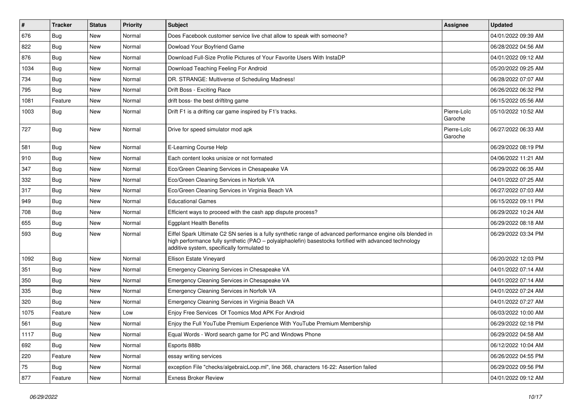| $\vert$ # | <b>Tracker</b> | <b>Status</b> | <b>Priority</b> | <b>Subject</b>                                                                                                                                                                                                                                                        | <b>Assignee</b>        | <b>Updated</b>      |
|-----------|----------------|---------------|-----------------|-----------------------------------------------------------------------------------------------------------------------------------------------------------------------------------------------------------------------------------------------------------------------|------------------------|---------------------|
| 676       | Bug            | New           | Normal          | Does Facebook customer service live chat allow to speak with someone?                                                                                                                                                                                                 |                        | 04/01/2022 09:39 AM |
| 822       | Bug            | New           | Normal          | Dowload Your Boyfriend Game                                                                                                                                                                                                                                           |                        | 06/28/2022 04:56 AM |
| 876       | <b>Bug</b>     | New           | Normal          | Download Full-Size Profile Pictures of Your Favorite Users With InstaDP                                                                                                                                                                                               |                        | 04/01/2022 09:12 AM |
| 1034      | Bug            | New           | Normal          | Download Teaching Feeling For Android                                                                                                                                                                                                                                 |                        | 05/20/2022 09:25 AM |
| 734       | Bug            | New           | Normal          | DR. STRANGE: Multiverse of Scheduling Madness!                                                                                                                                                                                                                        |                        | 06/28/2022 07:07 AM |
| 795       | <b>Bug</b>     | New           | Normal          | Drift Boss - Exciting Race                                                                                                                                                                                                                                            |                        | 06/26/2022 06:32 PM |
| 1081      | Feature        | New           | Normal          | drift boss- the best driftitng game                                                                                                                                                                                                                                   |                        | 06/15/2022 05:56 AM |
| 1003      | Bug            | New           | Normal          | Drift F1 is a drifting car game inspired by F1's tracks.                                                                                                                                                                                                              | Pierre-Loïc<br>Garoche | 05/10/2022 10:52 AM |
| 727       | Bug            | <b>New</b>    | Normal          | Drive for speed simulator mod apk                                                                                                                                                                                                                                     | Pierre-Loïc<br>Garoche | 06/27/2022 06:33 AM |
| 581       | <b>Bug</b>     | <b>New</b>    | Normal          | E-Learning Course Help                                                                                                                                                                                                                                                |                        | 06/29/2022 08:19 PM |
| 910       | Bug            | New           | Normal          | Each content looks unisize or not formated                                                                                                                                                                                                                            |                        | 04/06/2022 11:21 AM |
| 347       | <b>Bug</b>     | New           | Normal          | Eco/Green Cleaning Services in Chesapeake VA                                                                                                                                                                                                                          |                        | 06/29/2022 06:35 AM |
| 332       | <b>Bug</b>     | New           | Normal          | Eco/Green Cleaning Services in Norfolk VA                                                                                                                                                                                                                             |                        | 04/01/2022 07:25 AM |
| 317       | Bug            | New           | Normal          | Eco/Green Cleaning Services in Virginia Beach VA                                                                                                                                                                                                                      |                        | 06/27/2022 07:03 AM |
| 949       | <b>Bug</b>     | New           | Normal          | <b>Educational Games</b>                                                                                                                                                                                                                                              |                        | 06/15/2022 09:11 PM |
| 708       | Bug            | New           | Normal          | Efficient ways to proceed with the cash app dispute process?                                                                                                                                                                                                          |                        | 06/29/2022 10:24 AM |
| 655       | <b>Bug</b>     | New           | Normal          | <b>Eggplant Health Benefits</b>                                                                                                                                                                                                                                       |                        | 06/29/2022 08:18 AM |
| 593       | <b>Bug</b>     | New           | Normal          | Eiffel Spark Ultimate C2 SN series is a fully synthetic range of advanced performance engine oils blended in<br>high performance fully synthetic (PAO - polyalphaolefin) basestocks fortified with advanced technology<br>additive system, specifically formulated to |                        | 06/29/2022 03:34 PM |
| 1092      | Bug            | New           | Normal          | Ellison Estate Vineyard                                                                                                                                                                                                                                               |                        | 06/20/2022 12:03 PM |
| 351       | Bug            | New           | Normal          | Emergency Cleaning Services in Chesapeake VA                                                                                                                                                                                                                          |                        | 04/01/2022 07:14 AM |
| 350       | Bug            | New           | Normal          | Emergency Cleaning Services in Chesapeake VA                                                                                                                                                                                                                          |                        | 04/01/2022 07:14 AM |
| 335       | Bug            | New           | Normal          | Emergency Cleaning Services in Norfolk VA                                                                                                                                                                                                                             |                        | 04/01/2022 07:24 AM |
| 320       | <b>Bug</b>     | New           | Normal          | Emergency Cleaning Services in Virginia Beach VA                                                                                                                                                                                                                      |                        | 04/01/2022 07:27 AM |
| 1075      | Feature        | New           | Low             | Enjoy Free Services Of Toomics Mod APK For Android                                                                                                                                                                                                                    |                        | 06/03/2022 10:00 AM |
| 561       | <b>Bug</b>     | New           | Normal          | Enjoy the Full YouTube Premium Experience With YouTube Premium Membership                                                                                                                                                                                             |                        | 06/29/2022 02:18 PM |
| 1117      | <b>Bug</b>     | New           | Normal          | Equal Words - Word search game for PC and Windows Phone                                                                                                                                                                                                               |                        | 06/29/2022 04:58 AM |
| 692       | <b>Bug</b>     | New           | Normal          | Esports 888b                                                                                                                                                                                                                                                          |                        | 06/12/2022 10:04 AM |
| 220       | Feature        | New           | Normal          | essay writing services                                                                                                                                                                                                                                                |                        | 06/26/2022 04:55 PM |
| 75        | <b>Bug</b>     | New           | Normal          | exception File "checks/algebraicLoop.ml", line 368, characters 16-22: Assertion failed                                                                                                                                                                                |                        | 06/29/2022 09:56 PM |
| 877       | Feature        | New           | Normal          | <b>Exness Broker Review</b>                                                                                                                                                                                                                                           |                        | 04/01/2022 09:12 AM |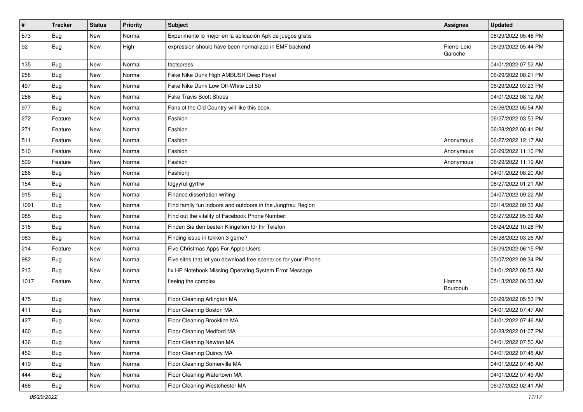| $\sharp$ | <b>Tracker</b> | <b>Status</b> | <b>Priority</b> | Subject                                                         | Assignee               | <b>Updated</b>      |
|----------|----------------|---------------|-----------------|-----------------------------------------------------------------|------------------------|---------------------|
| 573      | <b>Bug</b>     | New           | Normal          | Experimente lo mejor en la aplicación Apk de juegos gratis      |                        | 06/29/2022 05:48 PM |
| 92       | <b>Bug</b>     | New           | High            | expression should have been normalized in EMF backend           | Pierre-Loïc<br>Garoche | 06/29/2022 05:44 PM |
| 135      | <b>Bug</b>     | <b>New</b>    | Normal          | factspress                                                      |                        | 04/01/2022 07:52 AM |
| 258      | Bug            | <b>New</b>    | Normal          | Fake Nike Dunk High AMBUSH Deep Royal                           |                        | 06/29/2022 08:21 PM |
| 497      | <b>Bug</b>     | New           | Normal          | Fake Nike Dunk Low Off-White Lot 50                             |                        | 06/29/2022 03:23 PM |
| 256      | Bug            | New           | Normal          | <b>Fake Travis Scott Shoes</b>                                  |                        | 04/01/2022 08:12 AM |
| 977      | <b>Bug</b>     | New           | Normal          | Fans of the Old Country will like this book.                    |                        | 06/26/2022 05:54 AM |
| 272      | Feature        | New           | Normal          | Fashion                                                         |                        | 06/27/2022 03:53 PM |
| 271      | Feature        | New           | Normal          | Fashion                                                         |                        | 06/28/2022 06:41 PM |
| 511      | Feature        | New           | Normal          | Fashion                                                         | Anonymous              | 06/27/2022 12:17 AM |
| 510      | Feature        | New           | Normal          | Fashion                                                         | Anonymous              | 06/29/2022 11:10 PM |
| 509      | Feature        | New           | Normal          | Fashion                                                         | Anonymous              | 06/29/2022 11:19 AM |
| 268      | <b>Bug</b>     | New           | Normal          | Fashioni                                                        |                        | 04/01/2022 08:20 AM |
| 154      | <b>Bug</b>     | New           | Normal          | fdgyyrut gyrtrw                                                 |                        | 06/27/2022 01:21 AM |
| 915      | <b>Bug</b>     | New           | Normal          | Finance dissertation writing                                    |                        | 04/07/2022 09:22 AM |
| 1091     | <b>Bug</b>     | <b>New</b>    | Normal          | Find family fun indoors and outdoors in the Jungfrau Region     |                        | 06/14/2022 09:33 AM |
| 985      | Bug            | New           | Normal          | Find out the vitality of Facebook Phone Number:                 |                        | 06/27/2022 05:39 AM |
| 316      | <b>Bug</b>     | New           | Normal          | Finden Sie den besten Klingelton für Ihr Telefon                |                        | 06/24/2022 10:28 PM |
| 983      | Bug            | New           | Normal          | Finding issue in tekken 3 game?                                 |                        | 06/28/2022 03:26 AM |
| 214      | Feature        | New           | Normal          | Five Christmas Apps For Apple Users                             |                        | 06/29/2022 06:15 PM |
| 982      | <b>Bug</b>     | New           | Normal          | Five sites that let you download free scenarios for your iPhone |                        | 05/07/2022 09:34 PM |
| 213      | Bug            | New           | Normal          | fix HP Notebook Missing Operating System Error Message          |                        | 04/01/2022 08:53 AM |
| 1017     | Feature        | New           | Normal          | fleeing the complex                                             | Hamza<br>Bourbouh      | 05/13/2022 06:33 AM |
| 475      | Bug            | New           | Normal          | Floor Cleaning Arlington MA                                     |                        | 06/29/2022 05:53 PM |
| 411      | <b>Bug</b>     | New           | Normal          | Floor Cleaning Boston MA                                        |                        | 04/01/2022 07:47 AM |
| 427      | <b>Bug</b>     | New           | Normal          | Floor Cleaning Brookline MA                                     |                        | 04/01/2022 07:46 AM |
| 460      | Bug            | New           | Normal          | Floor Cleaning Medford MA                                       |                        | 06/28/2022 01:07 PM |
| 436      | Bug            | New           | Normal          | Floor Cleaning Newton MA                                        |                        | 04/01/2022 07:50 AM |
| 452      | Bug            | New           | Normal          | Floor Cleaning Quincy MA                                        |                        | 04/01/2022 07:48 AM |
| 419      | <b>Bug</b>     | New           | Normal          | Floor Cleaning Somerville MA                                    |                        | 04/01/2022 07:46 AM |
| 444      | Bug            | New           | Normal          | Floor Cleaning Watertown MA                                     |                        | 04/01/2022 07:49 AM |
| 468      | <b>Bug</b>     | New           | Normal          | Floor Cleaning Westchester MA                                   |                        | 06/27/2022 02:41 AM |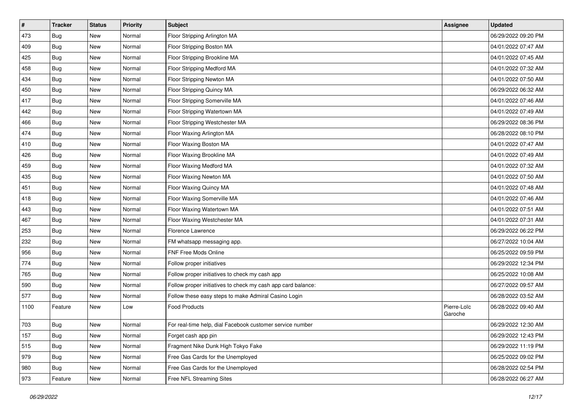| $\vert$ # | <b>Tracker</b> | <b>Status</b> | <b>Priority</b> | <b>Subject</b>                                               | <b>Assignee</b>        | <b>Updated</b>      |
|-----------|----------------|---------------|-----------------|--------------------------------------------------------------|------------------------|---------------------|
| 473       | <b>Bug</b>     | New           | Normal          | Floor Stripping Arlington MA                                 |                        | 06/29/2022 09:20 PM |
| 409       | <b>Bug</b>     | New           | Normal          | Floor Stripping Boston MA                                    |                        | 04/01/2022 07:47 AM |
| 425       | Bug            | New           | Normal          | Floor Stripping Brookline MA                                 |                        | 04/01/2022 07:45 AM |
| 458       | <b>Bug</b>     | New           | Normal          | Floor Stripping Medford MA                                   |                        | 04/01/2022 07:32 AM |
| 434       | Bug            | New           | Normal          | Floor Stripping Newton MA                                    |                        | 04/01/2022 07:50 AM |
| 450       | Bug            | New           | Normal          | Floor Stripping Quincy MA                                    |                        | 06/29/2022 06:32 AM |
| 417       | Bug            | New           | Normal          | Floor Stripping Somerville MA                                |                        | 04/01/2022 07:46 AM |
| 442       | <b>Bug</b>     | New           | Normal          | Floor Stripping Watertown MA                                 |                        | 04/01/2022 07:49 AM |
| 466       | <b>Bug</b>     | New           | Normal          | Floor Stripping Westchester MA                               |                        | 06/29/2022 08:36 PM |
| 474       | Bug            | New           | Normal          | Floor Waxing Arlington MA                                    |                        | 06/28/2022 08:10 PM |
| 410       | Bug            | New           | Normal          | Floor Waxing Boston MA                                       |                        | 04/01/2022 07:47 AM |
| 426       | <b>Bug</b>     | New           | Normal          | Floor Waxing Brookline MA                                    |                        | 04/01/2022 07:49 AM |
| 459       | Bug            | New           | Normal          | Floor Waxing Medford MA                                      |                        | 04/01/2022 07:32 AM |
| 435       | Bug            | New           | Normal          | Floor Waxing Newton MA                                       |                        | 04/01/2022 07:50 AM |
| 451       | <b>Bug</b>     | New           | Normal          | Floor Waxing Quincy MA                                       |                        | 04/01/2022 07:48 AM |
| 418       | Bug            | New           | Normal          | Floor Waxing Somerville MA                                   |                        | 04/01/2022 07:46 AM |
| 443       | <b>Bug</b>     | New           | Normal          | Floor Waxing Watertown MA                                    |                        | 04/01/2022 07:51 AM |
| 467       | <b>Bug</b>     | New           | Normal          | Floor Waxing Westchester MA                                  |                        | 04/01/2022 07:31 AM |
| 253       | Bug            | New           | Normal          | Florence Lawrence                                            |                        | 06/29/2022 06:22 PM |
| 232       | Bug            | New           | Normal          | FM whatsapp messaging app.                                   |                        | 06/27/2022 10:04 AM |
| 956       | <b>Bug</b>     | New           | Normal          | FNF Free Mods Online                                         |                        | 06/25/2022 09:59 PM |
| 774       | <b>Bug</b>     | New           | Normal          | Follow proper initiatives                                    |                        | 06/29/2022 12:34 PM |
| 765       | Bug            | New           | Normal          | Follow proper initiatives to check my cash app               |                        | 06/25/2022 10:08 AM |
| 590       | <b>Bug</b>     | New           | Normal          | Follow proper initiatives to check my cash app card balance: |                        | 06/27/2022 09:57 AM |
| 577       | <b>Bug</b>     | New           | Normal          | Follow these easy steps to make Admiral Casino Login         |                        | 06/28/2022 03:52 AM |
| 1100      | Feature        | New           | Low             | <b>Food Products</b>                                         | Pierre-Loïc<br>Garoche | 06/28/2022 09:40 AM |
| 703       | <b>Bug</b>     | New           | Normal          | For real-time help, dial Facebook customer service number    |                        | 06/29/2022 12:30 AM |
| 157       | <b>Bug</b>     | New           | Normal          | Forget cash app pin                                          |                        | 06/29/2022 12:43 PM |
| 515       | <b>Bug</b>     | New           | Normal          | Fragment Nike Dunk High Tokyo Fake                           |                        | 06/29/2022 11:19 PM |
| 979       | <b>Bug</b>     | New           | Normal          | Free Gas Cards for the Unemployed                            |                        | 06/25/2022 09:02 PM |
| 980       | Bug            | New           | Normal          | Free Gas Cards for the Unemployed                            |                        | 06/28/2022 02:54 PM |
| 973       | Feature        | New           | Normal          | Free NFL Streaming Sites                                     |                        | 06/28/2022 06:27 AM |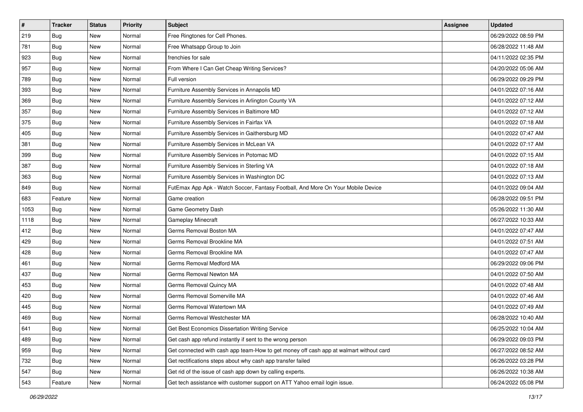| $\sharp$ | <b>Tracker</b> | <b>Status</b> | <b>Priority</b> | Subject                                                                                | <b>Assignee</b> | <b>Updated</b>      |
|----------|----------------|---------------|-----------------|----------------------------------------------------------------------------------------|-----------------|---------------------|
| 219      | Bug            | New           | Normal          | Free Ringtones for Cell Phones.                                                        |                 | 06/29/2022 08:59 PM |
| 781      | Bug            | New           | Normal          | Free Whatsapp Group to Join                                                            |                 | 06/28/2022 11:48 AM |
| 923      | Bug            | New           | Normal          | frenchies for sale                                                                     |                 | 04/11/2022 02:35 PM |
| 957      | Bug            | <b>New</b>    | Normal          | From Where I Can Get Cheap Writing Services?                                           |                 | 04/20/2022 05:06 AM |
| 789      | Bug            | New           | Normal          | Full version                                                                           |                 | 06/29/2022 09:29 PM |
| 393      | <b>Bug</b>     | New           | Normal          | Furniture Assembly Services in Annapolis MD                                            |                 | 04/01/2022 07:16 AM |
| 369      | Bug            | New           | Normal          | Furniture Assembly Services in Arlington County VA                                     |                 | 04/01/2022 07:12 AM |
| 357      | <b>Bug</b>     | New           | Normal          | Furniture Assembly Services in Baltimore MD                                            |                 | 04/01/2022 07:12 AM |
| 375      | Bug            | New           | Normal          | Furniture Assembly Services in Fairfax VA                                              |                 | 04/01/2022 07:18 AM |
| 405      | Bug            | New           | Normal          | Furniture Assembly Services in Gaithersburg MD                                         |                 | 04/01/2022 07:47 AM |
| 381      | <b>Bug</b>     | New           | Normal          | Furniture Assembly Services in McLean VA                                               |                 | 04/01/2022 07:17 AM |
| 399      | Bug            | New           | Normal          | Furniture Assembly Services in Potomac MD                                              |                 | 04/01/2022 07:15 AM |
| 387      | Bug            | New           | Normal          | Furniture Assembly Services in Sterling VA                                             |                 | 04/01/2022 07:18 AM |
| 363      | Bug            | New           | Normal          | Furniture Assembly Services in Washington DC                                           |                 | 04/01/2022 07:13 AM |
| 849      | Bug            | <b>New</b>    | Normal          | FutEmax App Apk - Watch Soccer, Fantasy Football, And More On Your Mobile Device       |                 | 04/01/2022 09:04 AM |
| 683      | Feature        | New           | Normal          | Game creation                                                                          |                 | 06/28/2022 09:51 PM |
| 1053     | Bug            | New           | Normal          | Game Geometry Dash                                                                     |                 | 05/26/2022 11:30 AM |
| 1118     | Bug            | New           | Normal          | Gameplay Minecraft                                                                     |                 | 06/27/2022 10:33 AM |
| 412      | Bug            | New           | Normal          | Germs Removal Boston MA                                                                |                 | 04/01/2022 07:47 AM |
| 429      | Bug            | New           | Normal          | Germs Removal Brookline MA                                                             |                 | 04/01/2022 07:51 AM |
| 428      | Bug            | New           | Normal          | Germs Removal Brookline MA                                                             |                 | 04/01/2022 07:47 AM |
| 461      | Bug            | New           | Normal          | Germs Removal Medford MA                                                               |                 | 06/29/2022 09:06 PM |
| 437      | Bug            | New           | Normal          | Germs Removal Newton MA                                                                |                 | 04/01/2022 07:50 AM |
| 453      | <b>Bug</b>     | New           | Normal          | Germs Removal Quincy MA                                                                |                 | 04/01/2022 07:48 AM |
| 420      | Bug            | New           | Normal          | Germs Removal Somerville MA                                                            |                 | 04/01/2022 07:46 AM |
| 445      | Bug            | New           | Normal          | Germs Removal Watertown MA                                                             |                 | 04/01/2022 07:49 AM |
| 469      | Bug            | New           | Normal          | Germs Removal Westchester MA                                                           |                 | 06/28/2022 10:40 AM |
| 641      | I Bug          | New           | Normal          | Get Best Economics Dissertation Writing Service                                        |                 | 06/25/2022 10:04 AM |
| 489      | <b>Bug</b>     | New           | Normal          | Get cash app refund instantly if sent to the wrong person                              |                 | 06/29/2022 09:03 PM |
| 959      | <b>Bug</b>     | New           | Normal          | Get connected with cash app team-How to get money off cash app at walmart without card |                 | 06/27/2022 08:52 AM |
| 732      | <b>Bug</b>     | New           | Normal          | Get rectifications steps about why cash app transfer failed                            |                 | 06/26/2022 03:28 PM |
| 547      | Bug            | New           | Normal          | Get rid of the issue of cash app down by calling experts.                              |                 | 06/26/2022 10:38 AM |
| 543      | Feature        | New           | Normal          | Get tech assistance with customer support on ATT Yahoo email login issue.              |                 | 06/24/2022 05:08 PM |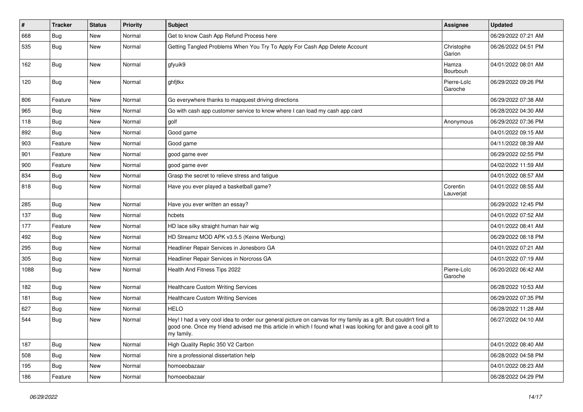| $\vert$ # | <b>Tracker</b> | <b>Status</b> | Priority | <b>Subject</b>                                                                                                                                                                                                                                    | <b>Assignee</b>        | <b>Updated</b>      |
|-----------|----------------|---------------|----------|---------------------------------------------------------------------------------------------------------------------------------------------------------------------------------------------------------------------------------------------------|------------------------|---------------------|
| 668       | Bug            | New           | Normal   | Get to know Cash App Refund Process here                                                                                                                                                                                                          |                        | 06/29/2022 07:21 AM |
| 535       | Bug            | New           | Normal   | Getting Tangled Problems When You Try To Apply For Cash App Delete Account                                                                                                                                                                        | Christophe<br>Garion   | 06/26/2022 04:51 PM |
| 162       | Bug            | New           | Normal   | gfyuik9                                                                                                                                                                                                                                           | Hamza<br>Bourbouh      | 04/01/2022 08:01 AM |
| 120       | Bug            | New           | Normal   | ghfjtkx                                                                                                                                                                                                                                           | Pierre-Loïc<br>Garoche | 06/29/2022 09:26 PM |
| 806       | Feature        | New           | Normal   | Go everywhere thanks to mapquest driving directions                                                                                                                                                                                               |                        | 06/29/2022 07:38 AM |
| 965       | Bug            | New           | Normal   | Go with cash app customer service to know where I can load my cash app card                                                                                                                                                                       |                        | 06/28/2022 04:30 AM |
| 118       | Bug            | New           | Normal   | golf                                                                                                                                                                                                                                              | Anonymous              | 06/29/2022 07:36 PM |
| 892       | Bug            | New           | Normal   | Good game                                                                                                                                                                                                                                         |                        | 04/01/2022 09:15 AM |
| 903       | Feature        | New           | Normal   | Good game                                                                                                                                                                                                                                         |                        | 04/11/2022 08:39 AM |
| 901       | Feature        | New           | Normal   | good game ever                                                                                                                                                                                                                                    |                        | 06/29/2022 02:55 PM |
| 900       | Feature        | New           | Normal   | good game ever                                                                                                                                                                                                                                    |                        | 04/02/2022 11:59 AM |
| 834       | Bug            | New           | Normal   | Grasp the secret to relieve stress and fatigue                                                                                                                                                                                                    |                        | 04/01/2022 08:57 AM |
| 818       | Bug            | New           | Normal   | Have you ever played a basketball game?                                                                                                                                                                                                           | Corentin<br>Lauverjat  | 04/01/2022 08:55 AM |
| 285       | Bug            | New           | Normal   | Have you ever written an essay?                                                                                                                                                                                                                   |                        | 06/29/2022 12:45 PM |
| 137       | Bug            | New           | Normal   | hcbets                                                                                                                                                                                                                                            |                        | 04/01/2022 07:52 AM |
| 177       | Feature        | <b>New</b>    | Normal   | HD lace silky straight human hair wig                                                                                                                                                                                                             |                        | 04/01/2022 08:41 AM |
| 492       | Bug            | New           | Normal   | HD Streamz MOD APK v3.5.5 (Keine Werbung)                                                                                                                                                                                                         |                        | 06/29/2022 08:18 PM |
| 295       | Bug            | New           | Normal   | Headliner Repair Services in Jonesboro GA                                                                                                                                                                                                         |                        | 04/01/2022 07:21 AM |
| 305       | Bug            | New           | Normal   | Headliner Repair Services in Norcross GA                                                                                                                                                                                                          |                        | 04/01/2022 07:19 AM |
| 1088      | Bug            | New           | Normal   | Health And Fitness Tips 2022                                                                                                                                                                                                                      | Pierre-Loïc<br>Garoche | 06/20/2022 06:42 AM |
| 182       | Bug            | New           | Normal   | <b>Healthcare Custom Writing Services</b>                                                                                                                                                                                                         |                        | 06/28/2022 10:53 AM |
| 181       | <b>Bug</b>     | New           | Normal   | <b>Healthcare Custom Writing Services</b>                                                                                                                                                                                                         |                        | 06/29/2022 07:35 PM |
| 627       | <b>Bug</b>     | New           | Normal   | <b>HELO</b>                                                                                                                                                                                                                                       |                        | 06/28/2022 11:28 AM |
| 544       | Bug            | New           | Normal   | Hey! I had a very cool idea to order our general picture on canvas for my family as a gift. But couldn't find a<br>good one. Once my friend advised me this article in which I found what I was looking for and gave a cool gift to<br>my family. |                        | 06/27/2022 04:10 AM |
| 187       | <b>Bug</b>     | New           | Normal   | High Quality Replic 350 V2 Carbon                                                                                                                                                                                                                 |                        | 04/01/2022 08:40 AM |
| 508       | Bug            | New           | Normal   | hire a professional dissertation help                                                                                                                                                                                                             |                        | 06/28/2022 04:58 PM |
| 195       | Bug            | New           | Normal   | homoeobazaar                                                                                                                                                                                                                                      |                        | 04/01/2022 08:23 AM |
| 186       | Feature        | New           | Normal   | homoeobazaar                                                                                                                                                                                                                                      |                        | 06/28/2022 04:29 PM |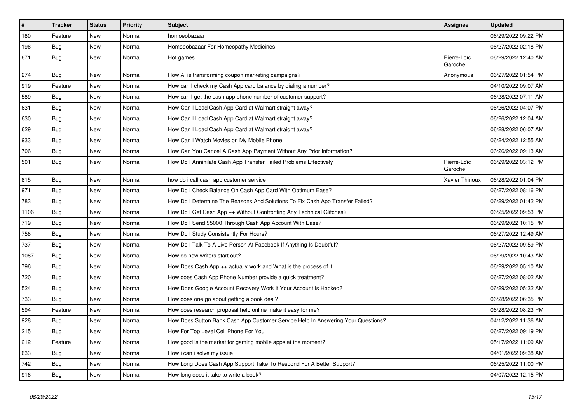| $\vert$ # | <b>Tracker</b> | <b>Status</b> | <b>Priority</b> | <b>Subject</b>                                                                   | <b>Assignee</b>        | <b>Updated</b>      |
|-----------|----------------|---------------|-----------------|----------------------------------------------------------------------------------|------------------------|---------------------|
| 180       | Feature        | <b>New</b>    | Normal          | homoeobazaar                                                                     |                        | 06/29/2022 09:22 PM |
| 196       | <b>Bug</b>     | <b>New</b>    | Normal          | Homoeobazaar For Homeopathy Medicines                                            |                        | 06/27/2022 02:18 PM |
| 671       | Bug            | New           | Normal          | Hot games                                                                        | Pierre-Loïc<br>Garoche | 06/29/2022 12:40 AM |
| 274       | Bug            | New           | Normal          | How AI is transforming coupon marketing campaigns?                               | Anonymous              | 06/27/2022 01:54 PM |
| 919       | Feature        | New           | Normal          | How can I check my Cash App card balance by dialing a number?                    |                        | 04/10/2022 09:07 AM |
| 589       | Bug            | New           | Normal          | How can I get the cash app phone number of customer support?                     |                        | 06/28/2022 07:11 AM |
| 631       | Bug            | <b>New</b>    | Normal          | How Can I Load Cash App Card at Walmart straight away?                           |                        | 06/26/2022 04:07 PM |
| 630       | Bug            | <b>New</b>    | Normal          | How Can I Load Cash App Card at Walmart straight away?                           |                        | 06/26/2022 12:04 AM |
| 629       | Bug            | <b>New</b>    | Normal          | How Can I Load Cash App Card at Walmart straight away?                           |                        | 06/28/2022 06:07 AM |
| 933       | Bug            | New           | Normal          | How Can I Watch Movies on My Mobile Phone                                        |                        | 06/24/2022 12:55 AM |
| 706       | Bug            | New           | Normal          | How Can You Cancel A Cash App Payment Without Any Prior Information?             |                        | 06/26/2022 09:13 AM |
| 501       | <b>Bug</b>     | New           | Normal          | How Do I Annihilate Cash App Transfer Failed Problems Effectively                | Pierre-Loïc<br>Garoche | 06/29/2022 03:12 PM |
| 815       | Bug            | <b>New</b>    | Normal          | how do i call cash app customer service                                          | <b>Xavier Thirioux</b> | 06/28/2022 01:04 PM |
| 971       | <b>Bug</b>     | <b>New</b>    | Normal          | How Do I Check Balance On Cash App Card With Optimum Ease?                       |                        | 06/27/2022 08:16 PM |
| 783       | <b>Bug</b>     | New           | Normal          | How Do I Determine The Reasons And Solutions To Fix Cash App Transfer Failed?    |                        | 06/29/2022 01:42 PM |
| 1106      | Bug            | New           | Normal          | How Do I Get Cash App ++ Without Confronting Any Technical Glitches?             |                        | 06/25/2022 09:53 PM |
| 719       | Bug            | New           | Normal          | How Do I Send \$5000 Through Cash App Account With Ease?                         |                        | 06/29/2022 10:15 PM |
| 758       | Bug            | New           | Normal          | How Do I Study Consistently For Hours?                                           |                        | 06/27/2022 12:49 AM |
| 737       | Bug            | New           | Normal          | How Do I Talk To A Live Person At Facebook If Anything Is Doubtful?              |                        | 06/27/2022 09:59 PM |
| 1087      | <b>Bug</b>     | New           | Normal          | How do new writers start out?                                                    |                        | 06/29/2022 10:43 AM |
| 796       | Bug            | New           | Normal          | How Does Cash App $++$ actually work and What is the process of it               |                        | 06/29/2022 05:10 AM |
| 720       | Bug            | New           | Normal          | How does Cash App Phone Number provide a quick treatment?                        |                        | 06/27/2022 08:02 AM |
| 524       | Bug            | <b>New</b>    | Normal          | How Does Google Account Recovery Work If Your Account Is Hacked?                 |                        | 06/29/2022 05:32 AM |
| 733       | Bug            | New           | Normal          | How does one go about getting a book deal?                                       |                        | 06/28/2022 06:35 PM |
| 594       | Feature        | <b>New</b>    | Normal          | How does research proposal help online make it easy for me?                      |                        | 06/28/2022 08:23 PM |
| 928       | Bug            | <b>New</b>    | Normal          | How Does Sutton Bank Cash App Customer Service Help In Answering Your Questions? |                        | 04/12/2022 11:36 AM |
| 215       | <b>Bug</b>     | New           | Normal          | How For Top Level Cell Phone For You                                             |                        | 06/27/2022 09:19 PM |
| 212       | Feature        | <b>New</b>    | Normal          | How good is the market for gaming mobile apps at the moment?                     |                        | 05/17/2022 11:09 AM |
| 633       | Bug            | New           | Normal          | How i can i solve my issue                                                       |                        | 04/01/2022 09:38 AM |
| 742       | Bug            | <b>New</b>    | Normal          | How Long Does Cash App Support Take To Respond For A Better Support?             |                        | 06/25/2022 11:00 PM |
| 916       | <b>Bug</b>     | <b>New</b>    | Normal          | How long does it take to write a book?                                           |                        | 04/07/2022 12:15 PM |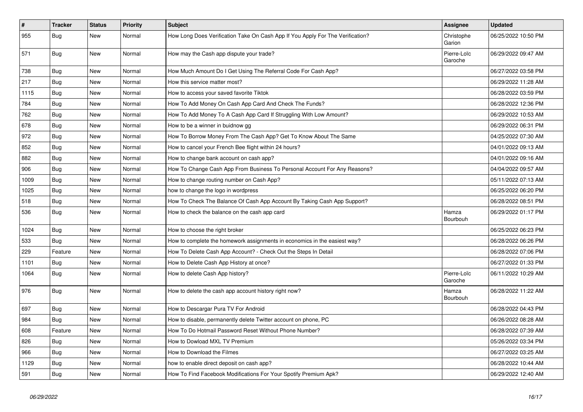| $\vert$ # | <b>Tracker</b> | <b>Status</b> | Priority | <b>Subject</b>                                                                 | <b>Assignee</b>        | <b>Updated</b>      |
|-----------|----------------|---------------|----------|--------------------------------------------------------------------------------|------------------------|---------------------|
| 955       | Bug            | <b>New</b>    | Normal   | How Long Does Verification Take On Cash App If You Apply For The Verification? | Christophe<br>Garion   | 06/25/2022 10:50 PM |
| 571       | <b>Bug</b>     | New           | Normal   | How may the Cash app dispute your trade?                                       | Pierre-Loïc<br>Garoche | 06/29/2022 09:47 AM |
| 738       | Bug            | <b>New</b>    | Normal   | How Much Amount Do I Get Using The Referral Code For Cash App?                 |                        | 06/27/2022 03:58 PM |
| 217       | Bug            | New           | Normal   | How this service matter most?                                                  |                        | 06/29/2022 11:28 AM |
| 1115      | Bug            | New           | Normal   | How to access your saved favorite Tiktok                                       |                        | 06/28/2022 03:59 PM |
| 784       | Bug            | New           | Normal   | How To Add Money On Cash App Card And Check The Funds?                         |                        | 06/28/2022 12:36 PM |
| 762       | Bug            | New           | Normal   | How To Add Money To A Cash App Card If Struggling With Low Amount?             |                        | 06/29/2022 10:53 AM |
| 678       | Bug            | New           | Normal   | How to be a winner in buidnow gg                                               |                        | 06/29/2022 06:31 PM |
| 972       | <b>Bug</b>     | New           | Normal   | How To Borrow Money From The Cash App? Get To Know About The Same              |                        | 04/25/2022 07:30 AM |
| 852       | Bug            | <b>New</b>    | Normal   | How to cancel your French Bee flight within 24 hours?                          |                        | 04/01/2022 09:13 AM |
| 882       | Bug            | New           | Normal   | How to change bank account on cash app?                                        |                        | 04/01/2022 09:16 AM |
| 906       | Bug            | New           | Normal   | How To Change Cash App From Business To Personal Account For Any Reasons?      |                        | 04/04/2022 09:57 AM |
| 1009      | Bug            | New           | Normal   | How to change routing number on Cash App?                                      |                        | 05/11/2022 07:13 AM |
| 1025      | <b>Bug</b>     | New           | Normal   | how to change the logo in wordpress                                            |                        | 06/25/2022 06:20 PM |
| 518       | <b>Bug</b>     | New           | Normal   | How To Check The Balance Of Cash App Account By Taking Cash App Support?       |                        | 06/28/2022 08:51 PM |
| 536       | <b>Bug</b>     | New           | Normal   | How to check the balance on the cash app card                                  | Hamza<br>Bourbouh      | 06/29/2022 01:17 PM |
| 1024      | <b>Bug</b>     | <b>New</b>    | Normal   | How to choose the right broker                                                 |                        | 06/25/2022 06:23 PM |
| 533       | Bug            | New           | Normal   | How to complete the homework assignments in economics in the easiest way?      |                        | 06/28/2022 06:26 PM |
| 229       | Feature        | <b>New</b>    | Normal   | How To Delete Cash App Account? - Check Out the Steps In Detail                |                        | 06/28/2022 07:06 PM |
| 1101      | Bug            | <b>New</b>    | Normal   | How to Delete Cash App History at once?                                        |                        | 06/27/2022 01:33 PM |
| 1064      | Bug            | New           | Normal   | How to delete Cash App history?                                                | Pierre-Loïc<br>Garoche | 06/11/2022 10:29 AM |
| 976       | Bug            | <b>New</b>    | Normal   | How to delete the cash app account history right now?                          | Hamza<br>Bourbouh      | 06/28/2022 11:22 AM |
| 697       | <b>Bug</b>     | <b>New</b>    | Normal   | How to Descargar Pura TV For Android                                           |                        | 06/28/2022 04:43 PM |
| 984       | <b>Bug</b>     | <b>New</b>    | Normal   | How to disable, permanently delete Twitter account on phone, PC                |                        | 06/26/2022 08:28 AM |
| 608       | Feature        | <b>New</b>    | Normal   | How To Do Hotmail Password Reset Without Phone Number?                         |                        | 06/28/2022 07:39 AM |
| 826       | Bug            | New           | Normal   | How to Dowload MXL TV Premium                                                  |                        | 05/26/2022 03:34 PM |
| 966       | <b>Bug</b>     | <b>New</b>    | Normal   | How to Download the Filmes                                                     |                        | 06/27/2022 03:25 AM |
| 1129      | Bug            | <b>New</b>    | Normal   | how to enable direct deposit on cash app?                                      |                        | 06/28/2022 10:44 AM |
| 591       | Bug            | <b>New</b>    | Normal   | How To Find Facebook Modifications For Your Spotify Premium Apk?               |                        | 06/29/2022 12:40 AM |